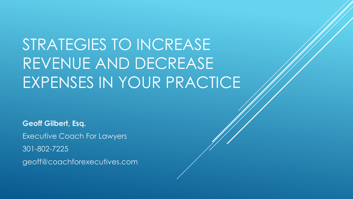# STRATEGIES TO INCREASE REVENUE AND DECREASE EXPENSES IN YOUR PRACTICE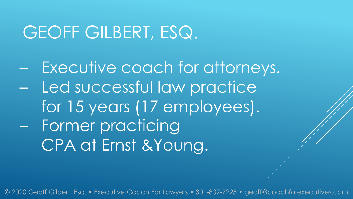## GEOFF GILBERT, ESQ.

– Executive coach for attorneys. – Led successful law practice for 15 years (17 employees). – Former practicing CPA at Ernst &Young.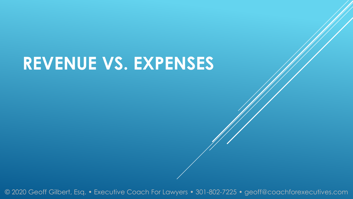# **REVENUE VS. EXPENSES**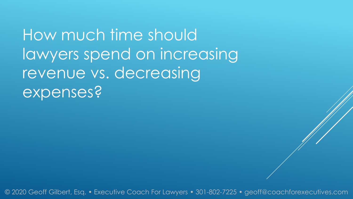How much time should lawyers spend on increasing revenue vs. decreasing expenses?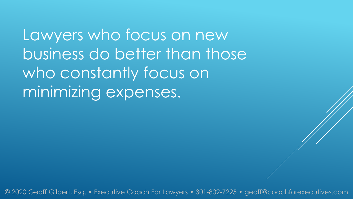Lawyers who focus on new business do better than those who constantly focus on minimizing expenses.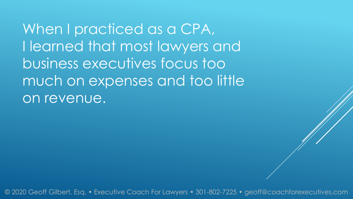When I practiced as a CPA, I learned that most lawyers and business executives focus too much on expenses and too little on revenue.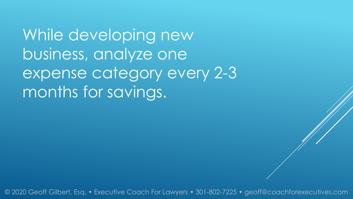While developing new business, analyze one expense category every 2-3 months for savings.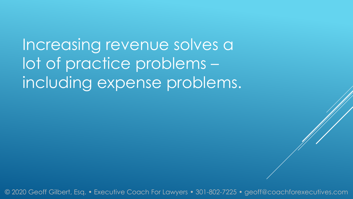Increasing revenue solves a lot of practice problems – including expense problems.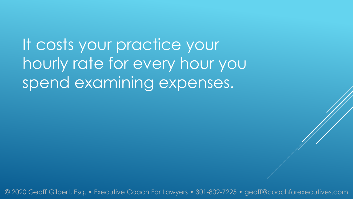It costs your practice your hourly rate for every hour you spend examining expenses.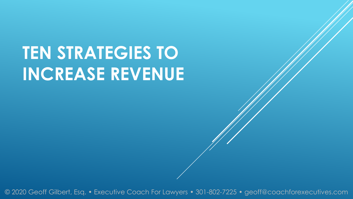# **TEN STRATEGIES TO INCREASE REVENUE**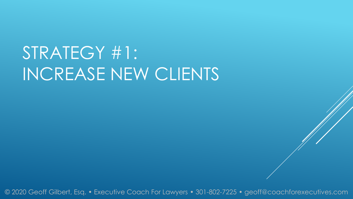# STRATEGY #1: INCREASE NEW CLIENTS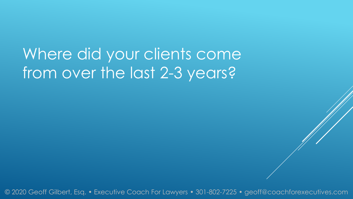## Where did your clients come from over the last 2-3 years?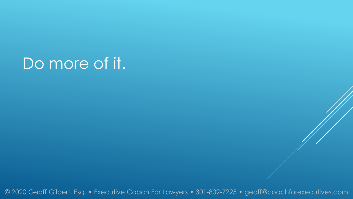### Do more of it.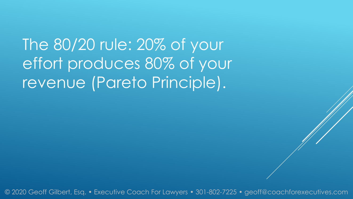The 80/20 rule: 20% of your effort produces 80% of your revenue (Pareto Principle).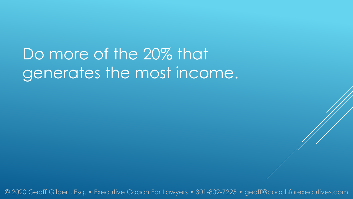## Do more of the 20% that generates the most income.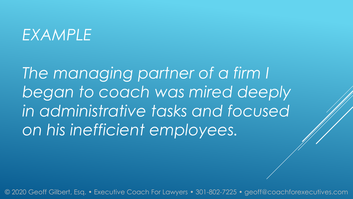#### *EXAMPLE*

*The managing partner of a firm I began to coach was mired deeply in administrative tasks and focused on his inefficient employees.*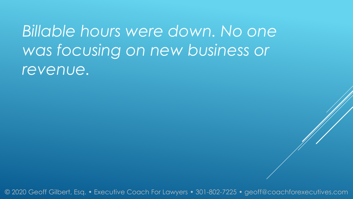*Billable hours were down. No one was focusing on new business or revenue.*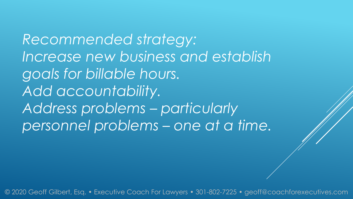*Recommended strategy: Increase new business and establish goals for billable hours. Add accountability. Address problems – particularly personnel problems – one at a time.*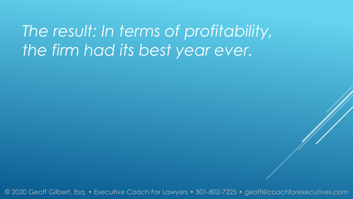*The result: In terms of profitability, the firm had its best year ever.*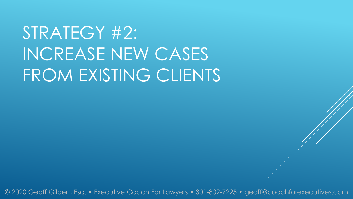# STRATEGY #2: INCREASE NEW CASES FROM EXISTING CLIENTS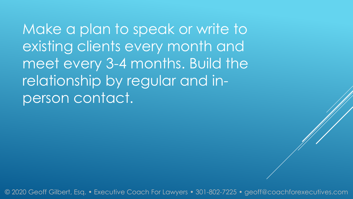Make a plan to speak or write to existing clients every month and meet every 3-4 months. Build the relationship by regular and inperson contact.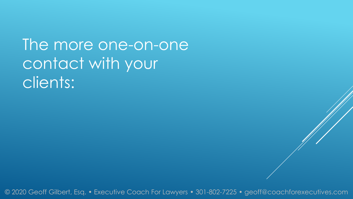### The more one-on-one contact with your clients: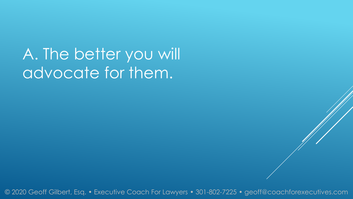A. The better you will advocate for them.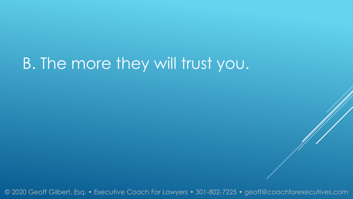## B. The more they will trust you.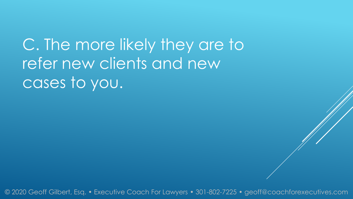C. The more likely they are to refer new clients and new cases to you.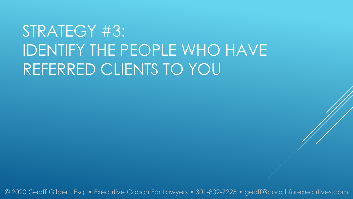# STRATEGY #3: IDENTIFY THE PEOPLE WHO HAVE REFERRED CLIENTS TO YOU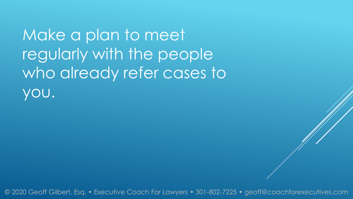Make a plan to meet regularly with the people who already refer cases to you.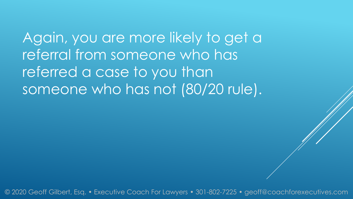Again, you are more likely to get a referral from someone who has referred a case to you than someone who has not (80/20 rule).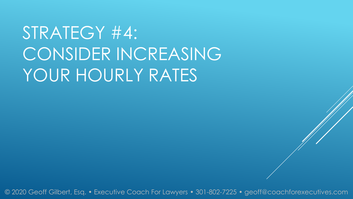# STRATEGY #4: CONSIDER INCREASING YOUR HOURLY RATES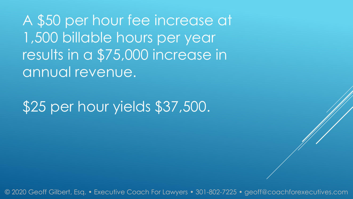A \$50 per hour fee increase at 1,500 billable hours per year results in a \$75,000 increase in annual revenue.

\$25 per hour yields \$37,500.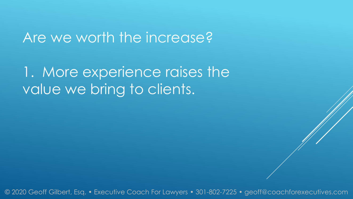#### Are we worth the increase?

1. More experience raises the value we bring to clients.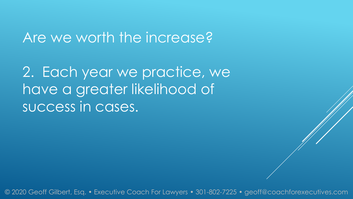#### Are we worth the increase?

2. Each year we practice, we have a greater likelihood of success in cases.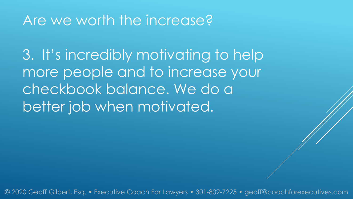#### Are we worth the increase?

3. It's incredibly motivating to help more people and to increase your checkbook balance. We do a better job when motivated.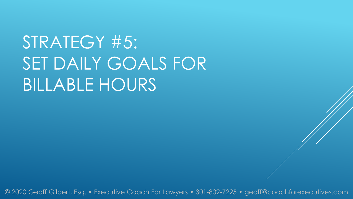STRATEGY #5: SET DAILY GOALS FOR BILLABLE HOURS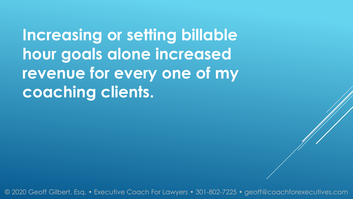**Increasing or setting billable hour goals alone increased revenue for every one of my coaching clients.**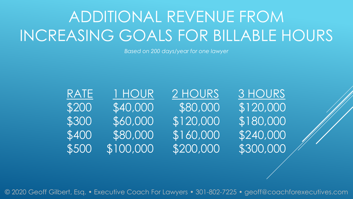# ADDITIONAL REVENUE FROM INCREASING GOALS FOR BILLABLE HOURS

*Based on 200 days/year for one lawyer*

| RATE  | I HOUR    |
|-------|-----------|
| \$200 | \$40,000  |
| \$300 | \$60,000  |
| \$400 | \$80,000  |
| \$500 | \$100,000 |

2 HOURS 3 HOURS \$120,000 \$180,000 \$160,000 \$240,000 \$200,000 \$300,000

\$80,000 \$120,000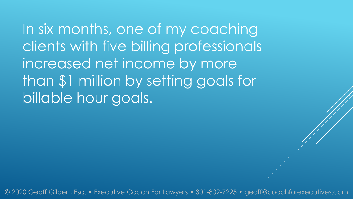In six months, one of my coaching clients with five billing professionals increased net income by more than \$1 million by setting goals for billable hour goals.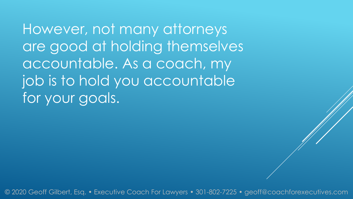However, not many attorneys are good at holding themselves accountable. As a coach, my job is to hold you accountable for your goals.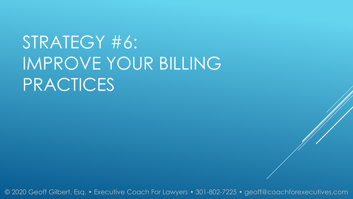# STRATEGY #6: IMPROVE YOUR BILLING PRACTICES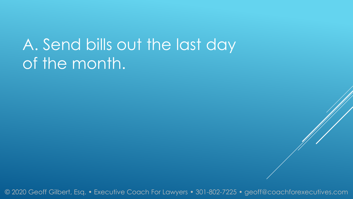## A. Send bills out the last day of the month.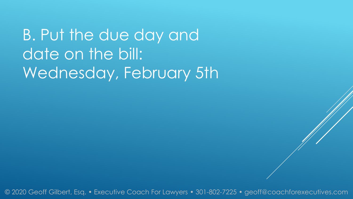B. Put the due day and date on the bill: Wednesday, February 5th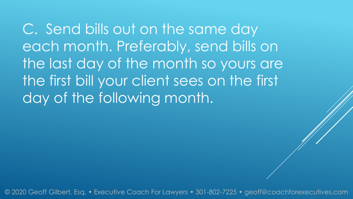C. Send bills out on the same day each month. Preferably, send bills on the last day of the month so yours are the first bill your client sees on the first day of the following month.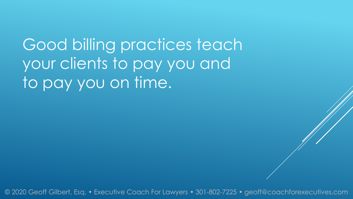Good billing practices teach your clients to pay you and to pay you on time.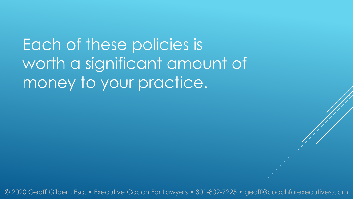Each of these policies is worth a significant amount of money to your practice.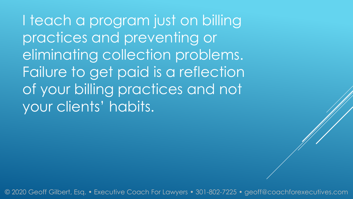I teach a program just on billing practices and preventing or eliminating collection problems. Failure to get paid is a reflection of your billing practices and not your clients' habits.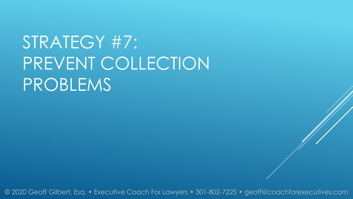# STRATEGY #7: PREVENT COLLECTION PROBLEMS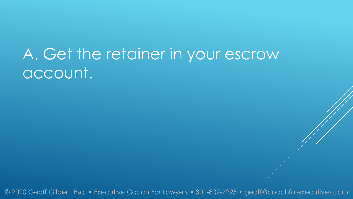### A. Get the retainer in your escrow account.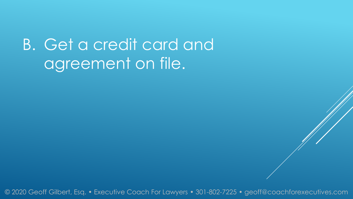## B. Get a credit card and agreement on file.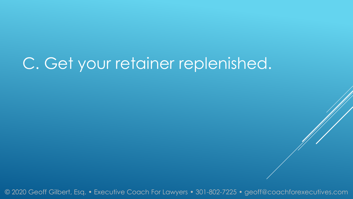### C. Get your retainer replenished.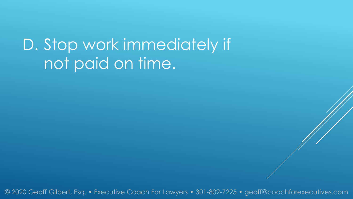### D. Stop work immediately if not paid on time.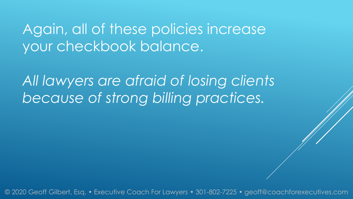#### Again, all of these policies increase your checkbook balance.

*All lawyers are afraid of losing clients because of strong billing practices.*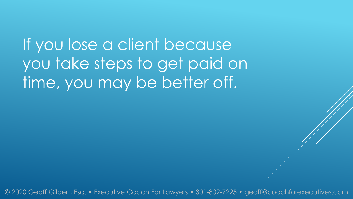If you lose a client because you take steps to get paid on time, you may be better off.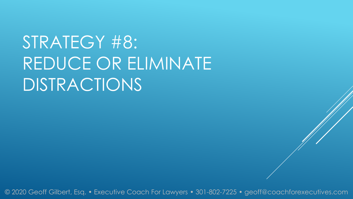# STRATEGY #8: REDUCE OR ELIMINATE DISTRACTIONS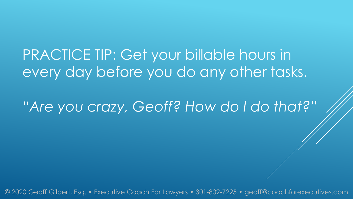#### PRACTICE TIP: Get your billable hours in every day before you do any other tasks.

*"Are you crazy, Geoff? How do I do that?"*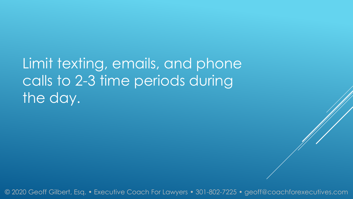Limit texting, emails, and phone calls to 2-3 time periods during the day.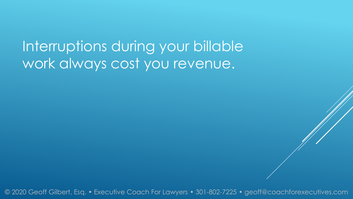Interruptions during your billable work always cost you revenue.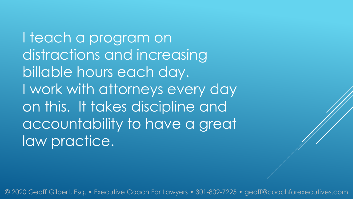I teach a program on distractions and increasing billable hours each day. I work with attorneys every day on this. It takes discipline and accountability to have a great law practice.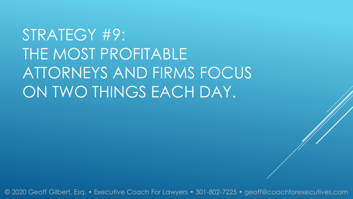# STRATEGY #9: THE MOST PROFITABLE ATTORNEYS AND FIRMS FOCUS ON TWO THINGS EACH DAY.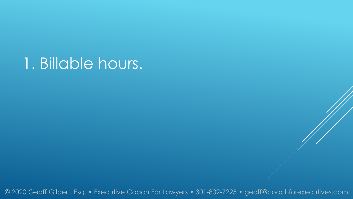#### 1. Billable hours.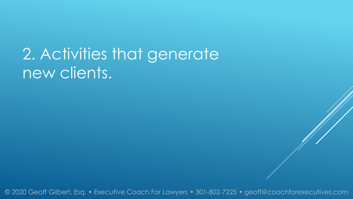### 2. Activities that generate new clients.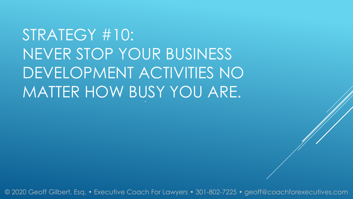STRATEGY #10: NEVER STOP YOUR BUSINESS DEVELOPMENT ACTIVITIES NO MATTER HOW BUSY YOU ARE.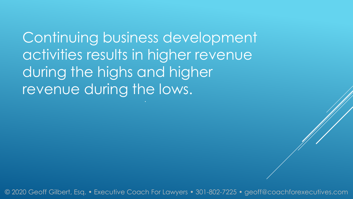Continuing business development activities results in higher revenue during the highs and higher revenue during the lows.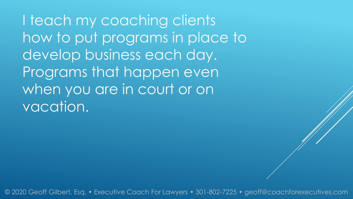I teach my coaching clients how to put programs in place to develop business each day. Programs that happen even when you are in court or on vacation.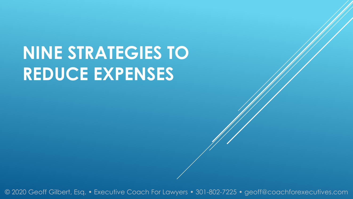# **NINE STRATEGIES TO REDUCE EXPENSES**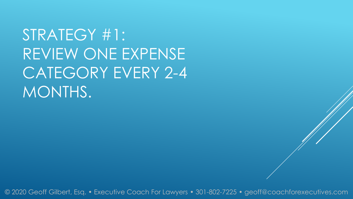# STRATEGY #1: REVIEW ONE EXPENSE CATEGORY EVERY 2-4 MONTHS.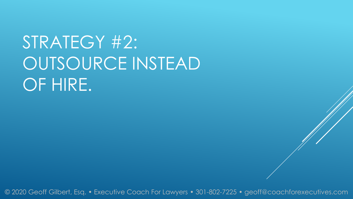# STRATEGY #2: OUTSOURCE INSTEAD OF HIRE.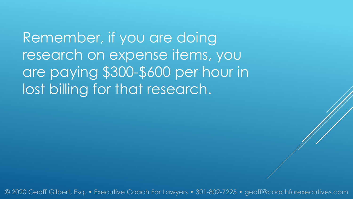Remember, if you are doing research on expense items, you are paying \$300-\$600 per hour in lost billing for that research.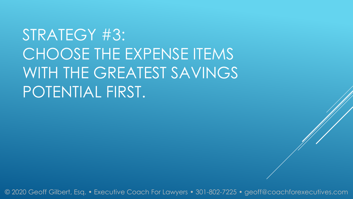## STRATEGY #3: CHOOSE THE EXPENSE ITEMS WITH THE GREATEST SAVINGS POTENTIAL FIRST.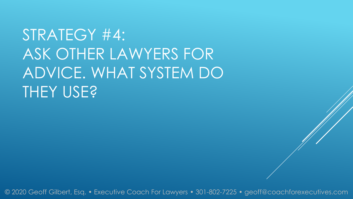# STRATEGY #4: ASK OTHER LAWYERS FOR ADVICE. WHAT SYSTEM DO THEY USE?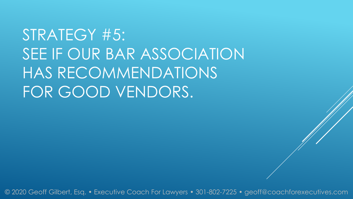# STRATEGY #5: SEE IF OUR BAR ASSOCIATION HAS RECOMMENDATIONS FOR GOOD VENDORS.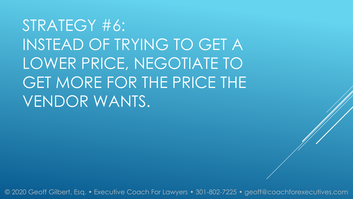STRATEGY #6: INSTEAD OF TRYING TO GET A LOWER PRICE, NEGOTIATE TO GET MORE FOR THE PRICE THE VENDOR WANTS.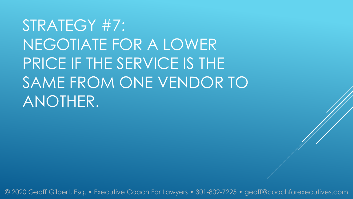STRATEGY #7: NEGOTIATE FOR A LOWER PRICE IF THE SERVICE IS THE SAME FROM ONE VENDOR TO ANOTHER.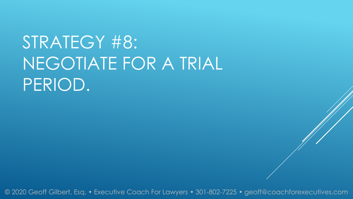# STRATEGY #8: NEGOTIATE FOR A TRIAL PERIOD.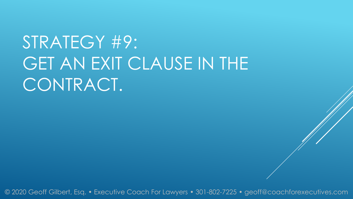# STRATEGY #9: GET AN EXIT CLAUSE IN THE CONTRACT.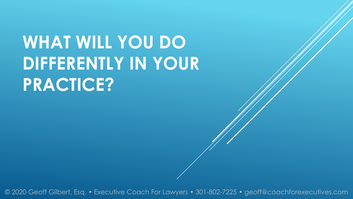# **WHAT WILL YOU DO DIFFERENTLY IN YOUR PRACTICE?**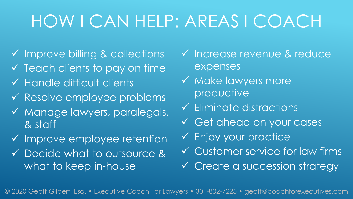### HOW I CAN HELP: AREAS I COACH

- $\checkmark$  Improve billing & collections
- $\checkmark$  Teach clients to pay on time
- $\checkmark$  Handle difficult clients
- Resolve employee problems
- Manage lawyers, paralegals, & staff
- $\checkmark$  Improve employee retention
- Decide what to outsource & what to keep in-house
- v Increase revenue & reduce expenses
- $\checkmark$  Make lawyers more productive
- $\checkmark$  Eliminate distractions
- Get ahead on your cases
- Enjoy your practice
- Customer service for law firms
- Create a succession strategy